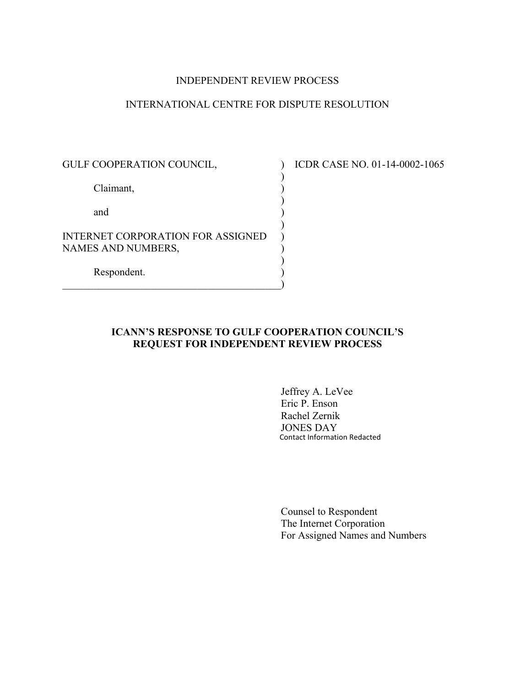#### INDEPENDENT REVIEW PROCESS

## INTERNATIONAL CENTRE FOR DISPUTE RESOLUTION

 $)$ Claimant, (1)  $)$ and )  $)$ INTERNET CORPORATION FOR ASSIGNED NAMES AND NUMBERS,  $)$  Respondent. )  $\hspace{.5em}$   $\hspace{.5em}$   $\hspace{.5em}$   $\hspace{.5em}$   $\hspace{.5em}$   $\hspace{.5em}$   $\hspace{.5em}$   $\hspace{.5em}$   $\hspace{.5em}$   $\hspace{.5em}$   $\hspace{.5em}$   $\hspace{.5em}$   $\hspace{.5em}$   $\hspace{.5em}$   $\hspace{.5em}$   $\hspace{.5em}$   $\hspace{.5em}$   $\hspace{.5em}$   $\hspace{.5em}$   $\hspace{.5em}$ 

GULF COOPERATION COUNCIL,  $\qquad \qquad$  ICDR CASE NO. 01-14-0002-1065

## **ICANN'S RESPONSE TO GULF COOPERATION COUNCIL'S REQUEST FOR INDEPENDENT REVIEW PROCESS**

 Jeffrey A. LeVee Eric P. Enson Rachel Zernik JONES DAY Contact Information Redacted

 Counsel to Respondent The Internet Corporation For Assigned Names and Numbers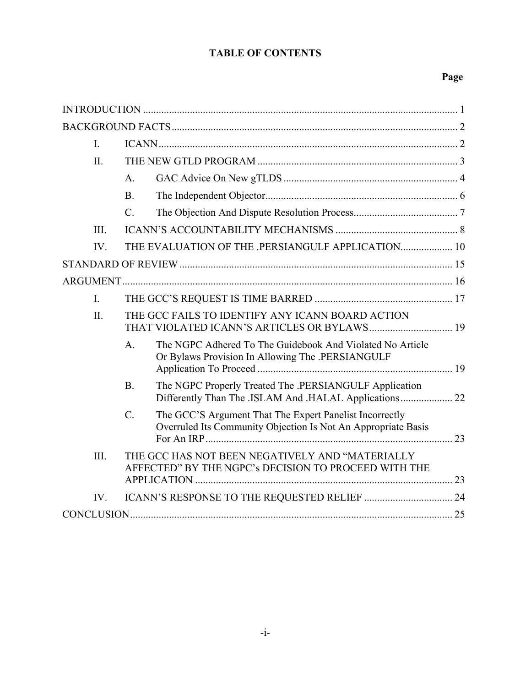# **TABLE OF CONTENTS**

# **Page**

| $\mathbf{I}$ . |                                                                                                                                           |  |
|----------------|-------------------------------------------------------------------------------------------------------------------------------------------|--|
| II.            |                                                                                                                                           |  |
|                | A <sub>1</sub>                                                                                                                            |  |
|                | B.                                                                                                                                        |  |
|                | $\mathcal{C}$ .                                                                                                                           |  |
| III.           |                                                                                                                                           |  |
| IV.            | THE EVALUATION OF THE .PERSIANGULF APPLICATION 10                                                                                         |  |
|                |                                                                                                                                           |  |
|                |                                                                                                                                           |  |
| $\mathbf{I}$ . |                                                                                                                                           |  |
| $\Pi$ .        | THE GCC FAILS TO IDENTIFY ANY ICANN BOARD ACTION                                                                                          |  |
|                | The NGPC Adhered To The Guidebook And Violated No Article<br>$A_{1}$<br>Or Bylaws Provision In Allowing The .PERSIANGULF                  |  |
|                | B.<br>The NGPC Properly Treated The .PERSIANGULF Application<br>Differently Than The .ISLAM And .HALAL Applications 22                    |  |
|                | $\mathcal{C}$<br>The GCC'S Argument That The Expert Panelist Incorrectly<br>Overruled Its Community Objection Is Not An Appropriate Basis |  |
| III.           | THE GCC HAS NOT BEEN NEGATIVELY AND "MATERIALLY<br>AFFECTED" BY THE NGPC's DECISION TO PROCEED WITH THE                                   |  |
| IV.            |                                                                                                                                           |  |
|                |                                                                                                                                           |  |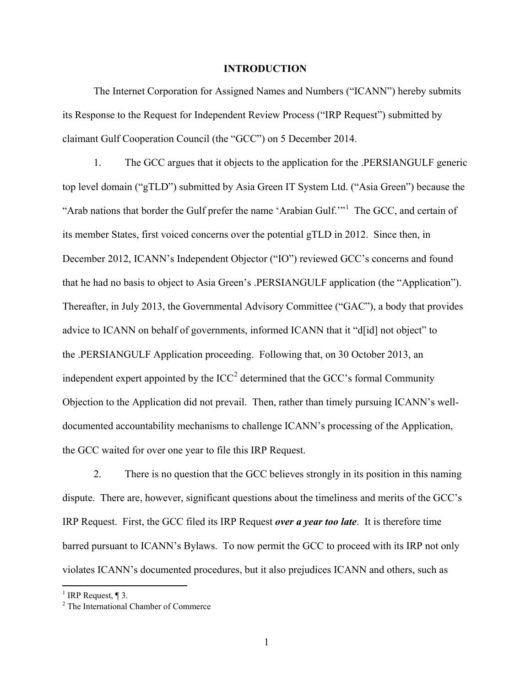#### **INTRODUCTION**

The Internet Corporation for Assigned Names and Numbers ("ICANN") hereby submits its Response to the Request for Independent Review Process ("IRP Request") submitted by claimant Gulf Cooperation Council (the "GCC") on 5 December 2014.

1. The GCC argues that it objects to the application for the .PERSIANGULF generic top level domain ("gTLD") submitted by Asia Green IT System Ltd. ("Asia Green") because the "Arab nations that border the Gulf prefer the name 'Arabian Gulf."<sup>1</sup> The GCC, and certain of its member States, first voiced concerns over the potential gTLD in 2012. Since then, in December 2012, ICANN's Independent Objector ("IO") reviewed GCC's concerns and found that he had no basis to object to Asia Green's .PERSIANGULF application (the "Application"). Thereafter, in July 2013, the Governmental Advisory Committee ("GAC"), a body that provides advice to ICANN on behalf of governments, informed ICANN that it "d[id] not object" to the .PERSIANGULF Application proceeding. Following that, on 30 October 2013, an independent expert appointed by the  $ICC<sup>2</sup>$  determined that the GCC's formal Community Objection to the Application did not prevail. Then, rather than timely pursuing ICANN's welldocumented accountability mechanisms to challenge ICANN's processing of the Application, the GCC waited for over one year to file this IRP Request.

2. There is no question that the GCC believes strongly in its position in this naming dispute. There are, however, significant questions about the timeliness and merits of the GCC's IRP Request. First, the GCC filed its IRP Request *over a year too late*. It is therefore time barred pursuant to ICANN's Bylaws. To now permit the GCC to proceed with its IRP not only violates ICANN's documented procedures, but it also prejudices ICANN and others, such as

<sup>&</sup>lt;sup>1</sup> IRP Request,  $\P$  3.

<sup>2</sup> The International Chamber of Commerce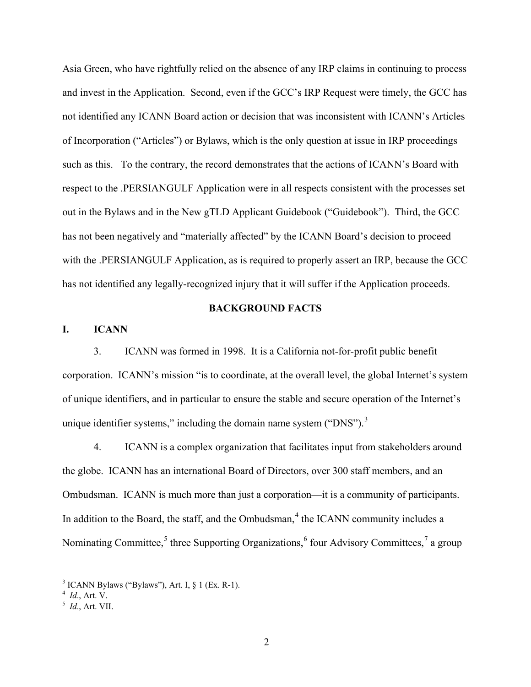Asia Green, who have rightfully relied on the absence of any IRP claims in continuing to process and invest in the Application. Second, even if the GCC's IRP Request were timely, the GCC has not identified any ICANN Board action or decision that was inconsistent with ICANN's Articles of Incorporation ("Articles") or Bylaws, which is the only question at issue in IRP proceedings such as this. To the contrary, the record demonstrates that the actions of ICANN's Board with respect to the .PERSIANGULF Application were in all respects consistent with the processes set out in the Bylaws and in the New gTLD Applicant Guidebook ("Guidebook"). Third, the GCC has not been negatively and "materially affected" by the ICANN Board's decision to proceed with the .PERSIANGULF Application, as is required to properly assert an IRP, because the GCC has not identified any legally-recognized injury that it will suffer if the Application proceeds.

#### **BACKGROUND FACTS**

**I. ICANN**

3. ICANN was formed in 1998. It is a California not-for-profit public benefit corporation. ICANN's mission "is to coordinate, at the overall level, the global Internet's system of unique identifiers, and in particular to ensure the stable and secure operation of the Internet's unique identifier systems," including the domain name system ("DNS"). $3$ 

4. ICANN is a complex organization that facilitates input from stakeholders around the globe. ICANN has an international Board of Directors, over 300 staff members, and an Ombudsman. ICANN is much more than just a corporation—it is a community of participants. In addition to the Board, the staff, and the Ombudsman, $4$  the ICANN community includes a Nominating Committee,<sup>5</sup> three Supporting Organizations,<sup>6</sup> four Advisory Committees,<sup>7</sup> a group

 $3$  ICANN Bylaws ("Bylaws"), Art. I,  $\frac{1}{2}$  1 (Ex. R-1).

*Id*., Art. V.

<sup>5</sup> *Id*., Art. VII.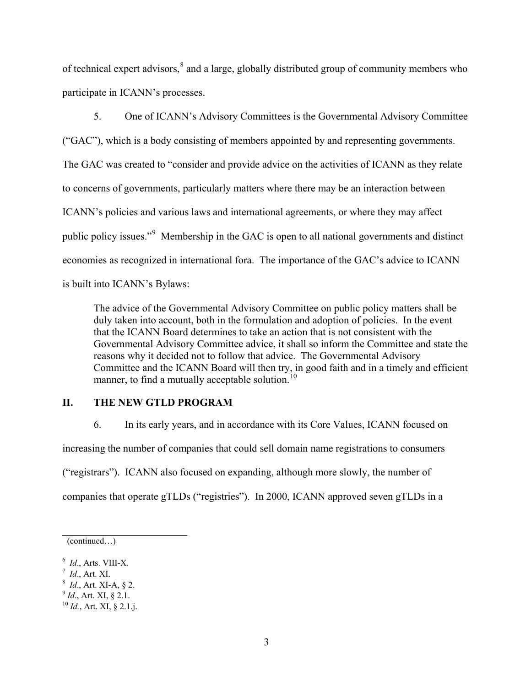of technical expert advisors,<sup>8</sup> and a large, globally distributed group of community members who participate in ICANN's processes.

5. One of ICANN's Advisory Committees is the Governmental Advisory Committee ("GAC"), which is a body consisting of members appointed by and representing governments. The GAC was created to "consider and provide advice on the activities of ICANN as they relate to concerns of governments, particularly matters where there may be an interaction between ICANN's policies and various laws and international agreements, or where they may affect public policy issues."<sup>9</sup> Membership in the GAC is open to all national governments and distinct economies as recognized in international fora. The importance of the GAC's advice to ICANN is built into ICANN's Bylaws:

The advice of the Governmental Advisory Committee on public policy matters shall be duly taken into account, both in the formulation and adoption of policies. In the event that the ICANN Board determines to take an action that is not consistent with the Governmental Advisory Committee advice, it shall so inform the Committee and state the reasons why it decided not to follow that advice. The Governmental Advisory Committee and the ICANN Board will then try, in good faith and in a timely and efficient manner, to find a mutually acceptable solution. $^{10}$ 

# **II. THE NEW GTLD PROGRAM**

6. In its early years, and in accordance with its Core Values, ICANN focused on

increasing the number of companies that could sell domain name registrations to consumers

("registrars"). ICANN also focused on expanding, although more slowly, the number of

companies that operate gTLDs ("registries"). In 2000, ICANN approved seven gTLDs in a

 $\frac{7}{1}$  *Id.*, Art. XI.

<sup>9</sup> *Id*., Art. XI, § 2.1.

<sup>(</sup>continued…)

<sup>&</sup>lt;sup>6</sup> *Id.*, Arts. VIII-X.

*Id*., Art. XI-A, § 2.

<sup>10</sup> *Id.*, Art. XI, § 2.1.j.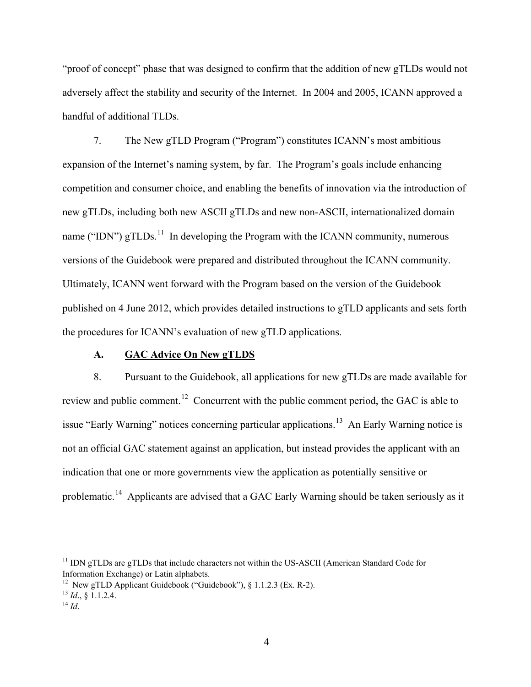"proof of concept" phase that was designed to confirm that the addition of new gTLDs would not adversely affect the stability and security of the Internet. In 2004 and 2005, ICANN approved a handful of additional TLDs.

7. The New gTLD Program ("Program") constitutes ICANN's most ambitious expansion of the Internet's naming system, by far. The Program's goals include enhancing competition and consumer choice, and enabling the benefits of innovation via the introduction of new gTLDs, including both new ASCII gTLDs and new non-ASCII, internationalized domain name ("IDN")  $gTLDs$ <sup>11</sup>. In developing the Program with the ICANN community, numerous versions of the Guidebook were prepared and distributed throughout the ICANN community. Ultimately, ICANN went forward with the Program based on the version of the Guidebook published on 4 June 2012, which provides detailed instructions to gTLD applicants and sets forth the procedures for ICANN's evaluation of new gTLD applications.

#### **A. GAC Advice On New gTLDS**

8. Pursuant to the Guidebook, all applications for new gTLDs are made available for review and public comment.<sup>12</sup> Concurrent with the public comment period, the GAC is able to issue "Early Warning" notices concerning particular applications.<sup>13</sup> An Early Warning notice is not an official GAC statement against an application, but instead provides the applicant with an indication that one or more governments view the application as potentially sensitive or problematic.14 Applicants are advised that a GAC Early Warning should be taken seriously as it

<sup>&</sup>lt;sup>11</sup> IDN gTLDs are gTLDs that include characters not within the US-ASCII (American Standard Code for Information Exchange) or Latin alphabets.

<sup>&</sup>lt;sup>12</sup> New gTLD Applicant Guidebook ("Guidebook"),  $\delta$  1.1.2.3 (Ex. R-2).

<sup>13</sup> *Id*., § 1.1.2.4. 14 *Id*.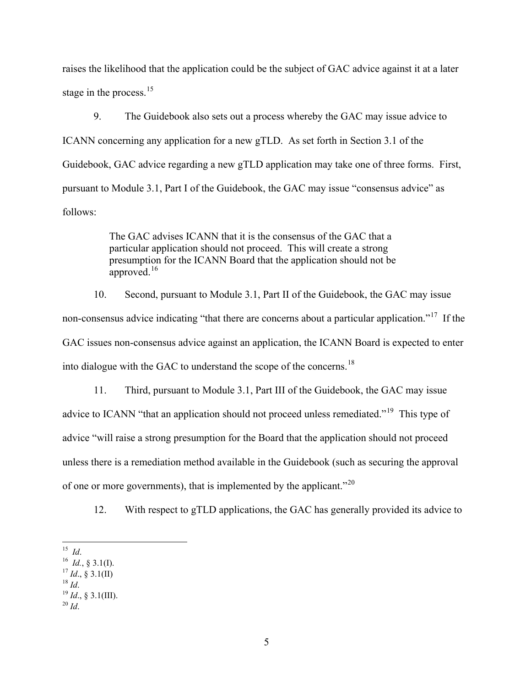raises the likelihood that the application could be the subject of GAC advice against it at a later stage in the process.  $15$ 

9. The Guidebook also sets out a process whereby the GAC may issue advice to ICANN concerning any application for a new gTLD. As set forth in Section 3.1 of the Guidebook, GAC advice regarding a new gTLD application may take one of three forms. First, pursuant to Module 3.1, Part I of the Guidebook, the GAC may issue "consensus advice" as follows:

> The GAC advises ICANN that it is the consensus of the GAC that a particular application should not proceed. This will create a strong presumption for the ICANN Board that the application should not be approved. $16$

10. Second, pursuant to Module 3.1, Part II of the Guidebook, the GAC may issue non-consensus advice indicating "that there are concerns about a particular application."17 If the GAC issues non-consensus advice against an application, the ICANN Board is expected to enter into dialogue with the GAC to understand the scope of the concerns.<sup>18</sup>

11. Third, pursuant to Module 3.1, Part III of the Guidebook, the GAC may issue advice to ICANN "that an application should not proceed unless remediated."<sup>19</sup> This type of advice "will raise a strong presumption for the Board that the application should not proceed unless there is a remediation method available in the Guidebook (such as securing the approval of one or more governments), that is implemented by the applicant.<sup>"20</sup>

12. With respect to gTLD applications, the GAC has generally provided its advice to

- $18$  *Id.*
- $^{19}$  *Id.*, § 3.1(III).
- <sup>20</sup> *Id*.

 <sup>15</sup> *Id*.

<sup>&</sup>lt;sup>16</sup> *Id.*, § 3.1(I).

 $^{17}$  *Id.*, § 3.1(II)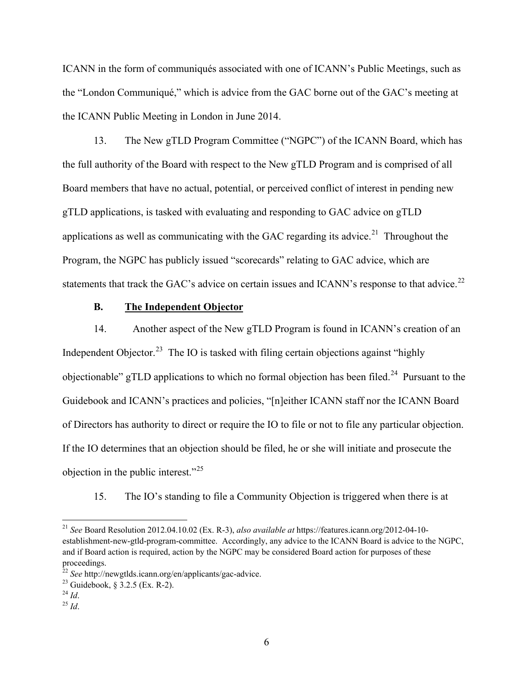ICANN in the form of communiqués associated with one of ICANN's Public Meetings, such as the "London Communiqué," which is advice from the GAC borne out of the GAC's meeting at the ICANN Public Meeting in London in June 2014.

13. The New gTLD Program Committee ("NGPC") of the ICANN Board, which has the full authority of the Board with respect to the New gTLD Program and is comprised of all Board members that have no actual, potential, or perceived conflict of interest in pending new gTLD applications, is tasked with evaluating and responding to GAC advice on gTLD applications as well as communicating with the GAC regarding its advice.<sup>21</sup> Throughout the Program, the NGPC has publicly issued "scorecards" relating to GAC advice, which are statements that track the GAC's advice on certain issues and ICANN's response to that advice.<sup>22</sup>

#### **B. The Independent Objector**

14. Another aspect of the New gTLD Program is found in ICANN's creation of an Independent Objector.<sup>23</sup> The IO is tasked with filing certain objections against "highly objectionable" gTLD applications to which no formal objection has been filed.<sup>24</sup> Pursuant to the Guidebook and ICANN's practices and policies, "[n]either ICANN staff nor the ICANN Board of Directors has authority to direct or require the IO to file or not to file any particular objection. If the IO determines that an objection should be filed, he or she will initiate and prosecute the objection in the public interest."25

15. The IO's standing to file a Community Objection is triggered when there is at

 <sup>21</sup> *See* Board Resolution 2012.04.10.02 (Ex. R-3), *also available at* https://features.icann.org/2012-04-10 establishment-new-gtld-program-committee. Accordingly, any advice to the ICANN Board is advice to the NGPC, and if Board action is required, action by the NGPC may be considered Board action for purposes of these proceedings.

<sup>22</sup> *See* http://newgtlds.icann.org/en/applicants/gac-advice.

<sup>23</sup> Guidebook, § 3.2.5 (Ex. R-2).

 $^{24}$  *Id.* 

 $^{25}$  *Id.*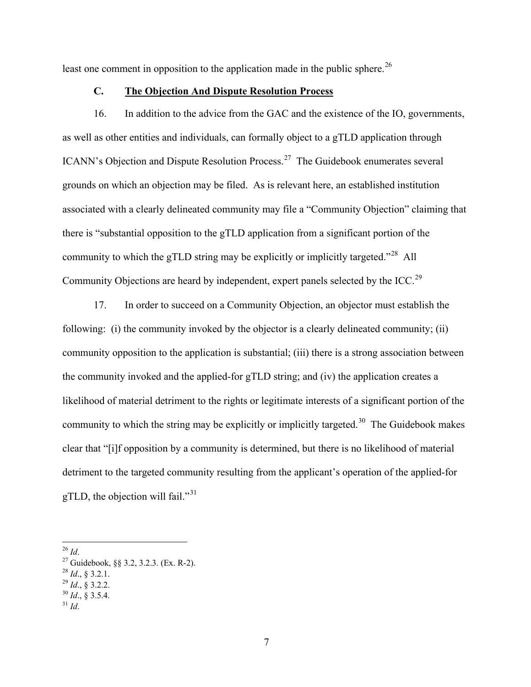least one comment in opposition to the application made in the public sphere.<sup>26</sup>

#### **C. The Objection And Dispute Resolution Process**

16. In addition to the advice from the GAC and the existence of the IO, governments, as well as other entities and individuals, can formally object to a gTLD application through ICANN's Objection and Dispute Resolution Process.27 The Guidebook enumerates several grounds on which an objection may be filed. As is relevant here, an established institution associated with a clearly delineated community may file a "Community Objection" claiming that there is "substantial opposition to the gTLD application from a significant portion of the community to which the gTLD string may be explicitly or implicitly targeted."28 All Community Objections are heard by independent, expert panels selected by the ICC.29

17. In order to succeed on a Community Objection, an objector must establish the following: (i) the community invoked by the objector is a clearly delineated community; (ii) community opposition to the application is substantial; (iii) there is a strong association between the community invoked and the applied-for gTLD string; and (iv) the application creates a likelihood of material detriment to the rights or legitimate interests of a significant portion of the community to which the string may be explicitly or implicitly targeted.<sup>30</sup> The Guidebook makes clear that "[i]f opposition by a community is determined, but there is no likelihood of material detriment to the targeted community resulting from the applicant's operation of the applied-for gTLD, the objection will fail." $31$ 

26 *Id*.

- $^{28}$  *Id.*, § 3.2.1.
- $^{29}$  *Id.*, § 3.2.2.
- $^{30}$  *Id.*, § 3.5.4.
- $31$  *Id.*

<sup>27</sup> Guidebook, §§ 3.2, 3.2.3. (Ex. R-2).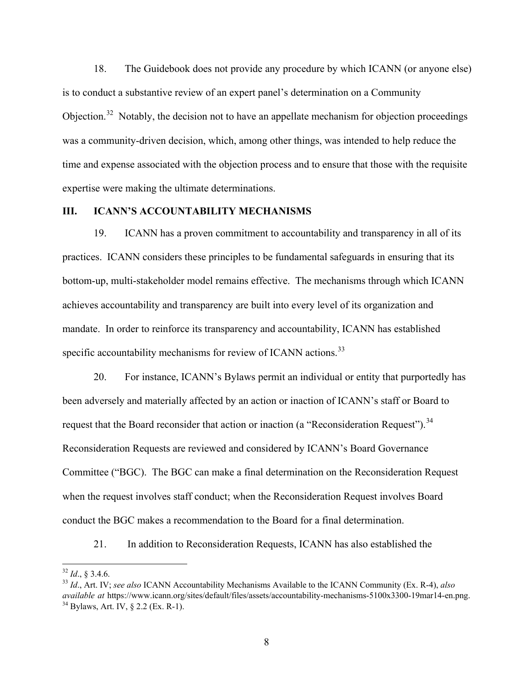18. The Guidebook does not provide any procedure by which ICANN (or anyone else) is to conduct a substantive review of an expert panel's determination on a Community Objection.<sup>32</sup> Notably, the decision not to have an appellate mechanism for objection proceedings was a community-driven decision, which, among other things, was intended to help reduce the time and expense associated with the objection process and to ensure that those with the requisite expertise were making the ultimate determinations.

# **III. ICANN'S ACCOUNTABILITY MECHANISMS**

19. ICANN has a proven commitment to accountability and transparency in all of its practices. ICANN considers these principles to be fundamental safeguards in ensuring that its bottom-up, multi-stakeholder model remains effective. The mechanisms through which ICANN achieves accountability and transparency are built into every level of its organization and mandate. In order to reinforce its transparency and accountability, ICANN has established specific accountability mechanisms for review of ICANN actions.<sup>33</sup>

20. For instance, ICANN's Bylaws permit an individual or entity that purportedly has been adversely and materially affected by an action or inaction of ICANN's staff or Board to request that the Board reconsider that action or inaction (a "Reconsideration Request").<sup>34</sup> Reconsideration Requests are reviewed and considered by ICANN's Board Governance Committee ("BGC). The BGC can make a final determination on the Reconsideration Request when the request involves staff conduct; when the Reconsideration Request involves Board conduct the BGC makes a recommendation to the Board for a final determination.

21. In addition to Reconsideration Requests, ICANN has also established the

 $32$  *Id.*, § 3.4.6.

<sup>33</sup> *Id*., Art. IV; *see also* ICANN Accountability Mechanisms Available to the ICANN Community (Ex. R-4), *also available at* https://www.icann.org/sites/default/files/assets/accountability-mechanisms-5100x3300-19mar14-en.png.  $34$  Bylaws, Art. IV, § 2.2 (Ex. R-1).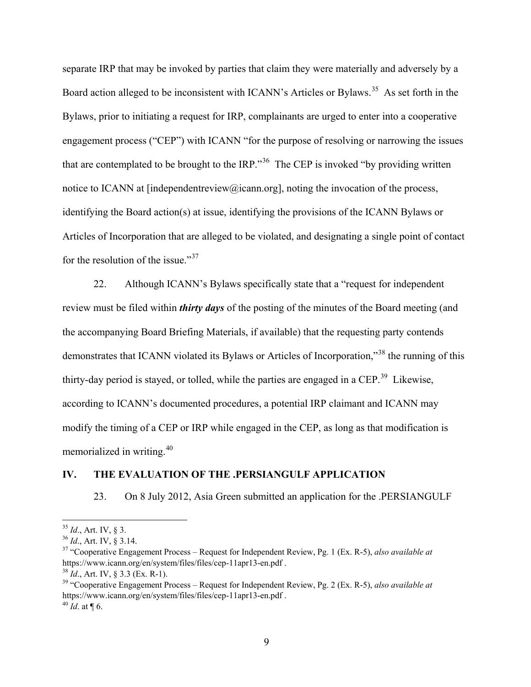separate IRP that may be invoked by parties that claim they were materially and adversely by a Board action alleged to be inconsistent with ICANN's Articles or Bylaws.<sup>35</sup> As set forth in the Bylaws, prior to initiating a request for IRP, complainants are urged to enter into a cooperative engagement process ("CEP") with ICANN "for the purpose of resolving or narrowing the issues that are contemplated to be brought to the IRP.<sup>36</sup> The CEP is invoked "by providing written" notice to ICANN at [independent review@icann.org], noting the invocation of the process, identifying the Board action(s) at issue, identifying the provisions of the ICANN Bylaws or Articles of Incorporation that are alleged to be violated, and designating a single point of contact for the resolution of the issue."<sup>37</sup>

22. Although ICANN's Bylaws specifically state that a "request for independent review must be filed within *thirty days* of the posting of the minutes of the Board meeting (and the accompanying Board Briefing Materials, if available) that the requesting party contends demonstrates that ICANN violated its Bylaws or Articles of Incorporation,"<sup>38</sup> the running of this thirty-day period is stayed, or tolled, while the parties are engaged in a CEP.<sup>39</sup> Likewise, according to ICANN's documented procedures, a potential IRP claimant and ICANN may modify the timing of a CEP or IRP while engaged in the CEP, as long as that modification is memorialized in writing.<sup>40</sup>

## **IV. THE EVALUATION OF THE .PERSIANGULF APPLICATION**

23. On 8 July 2012, Asia Green submitted an application for the .PERSIANGULF

 <sup>35</sup> *Id*., Art. IV, § 3.

<sup>36</sup> *Id*., Art. IV, § 3.14.

<sup>37</sup> "Cooperative Engagement Process – Request for Independent Review, Pg. 1 (Ex. R-5), *also available at* https://www.icann.org/en/system/files/files/cep-11apr13-en.pdf .

<sup>38</sup> *Id*., Art. IV, § 3.3 (Ex. R-1).

<sup>39</sup> "Cooperative Engagement Process – Request for Independent Review, Pg. 2 (Ex. R-5), *also available at* https://www.icann.org/en/system/files/files/cep-11apr13-en.pdf .

 $40$  *Id.* at  $\P$  6.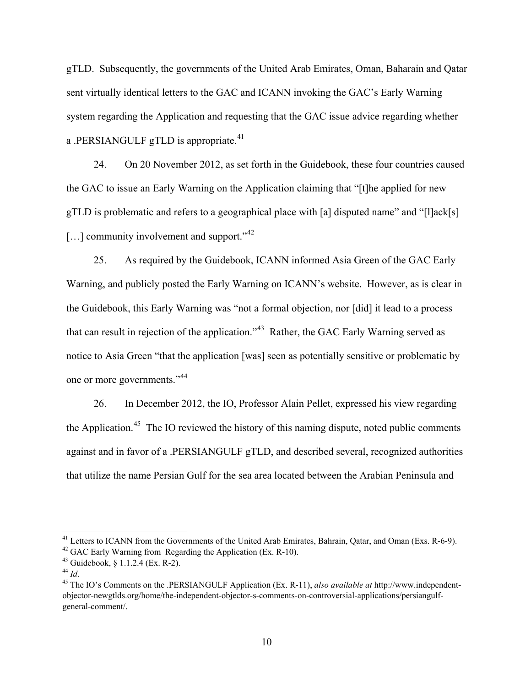gTLD. Subsequently, the governments of the United Arab Emirates, Oman, Baharain and Qatar sent virtually identical letters to the GAC and ICANN invoking the GAC's Early Warning system regarding the Application and requesting that the GAC issue advice regarding whether a .PERSIANGULF gTLD is appropriate.<sup>41</sup>

24. On 20 November 2012, as set forth in the Guidebook, these four countries caused the GAC to issue an Early Warning on the Application claiming that "[t]he applied for new gTLD is problematic and refers to a geographical place with [a] disputed name" and "[l]ack[s]  $[\dots]$  community involvement and support."<sup>42</sup>

25. As required by the Guidebook, ICANN informed Asia Green of the GAC Early Warning, and publicly posted the Early Warning on ICANN's website. However, as is clear in the Guidebook, this Early Warning was "not a formal objection, nor [did] it lead to a process that can result in rejection of the application."43 Rather, the GAC Early Warning served as notice to Asia Green "that the application [was] seen as potentially sensitive or problematic by one or more governments."<sup>44</sup>

26. In December 2012, the IO, Professor Alain Pellet, expressed his view regarding the Application.<sup>45</sup> The IO reviewed the history of this naming dispute, noted public comments against and in favor of a .PERSIANGULF gTLD, and described several, recognized authorities that utilize the name Persian Gulf for the sea area located between the Arabian Peninsula and

<sup>&</sup>lt;sup>41</sup> Letters to ICANN from the Governments of the United Arab Emirates, Bahrain, Qatar, and Oman (Exs. R-6-9).<br><sup>42</sup> GAC Early Warning from Regarding the Application (Ex. R-10).

<sup>&</sup>lt;sup>43</sup> Guidebook,  $\S$  1.1.2.4 (Ex. R-2).

<sup>44</sup> *Id*.

<sup>45</sup> The IO's Comments on the .PERSIANGULF Application (Ex. R-11), *also available at* http://www.independentobjector-newgtlds.org/home/the-independent-objector-s-comments-on-controversial-applications/persiangulfgeneral-comment/.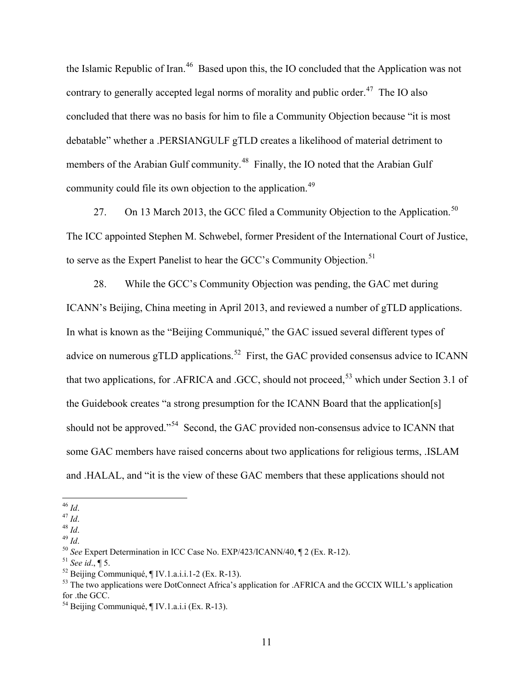the Islamic Republic of Iran.<sup>46</sup> Based upon this, the IO concluded that the Application was not contrary to generally accepted legal norms of morality and public order.<sup>47</sup> The IO also concluded that there was no basis for him to file a Community Objection because "it is most debatable" whether a .PERSIANGULF gTLD creates a likelihood of material detriment to members of the Arabian Gulf community.<sup>48</sup> Finally, the IO noted that the Arabian Gulf community could file its own objection to the application.<sup>49</sup>

27. On 13 March 2013, the GCC filed a Community Objection to the Application.<sup>50</sup> The ICC appointed Stephen M. Schwebel, former President of the International Court of Justice, to serve as the Expert Panelist to hear the GCC's Community Objection.<sup>51</sup>

28. While the GCC's Community Objection was pending, the GAC met during ICANN's Beijing, China meeting in April 2013, and reviewed a number of gTLD applications. In what is known as the "Beijing Communiqué," the GAC issued several different types of advice on numerous gTLD applications.<sup>52</sup> First, the GAC provided consensus advice to ICANN that two applications, for .AFRICA and .GCC, should not proceed,  $53$  which under Section 3.1 of the Guidebook creates "a strong presumption for the ICANN Board that the application[s] should not be approved."<sup>54</sup> Second, the GAC provided non-consensus advice to ICANN that some GAC members have raised concerns about two applications for religious terms, .ISLAM and .HALAL, and "it is the view of these GAC members that these applications should not

 <sup>46</sup> *Id*.

<sup>47</sup> *Id*.

<sup>48</sup> *Id*.

<sup>49</sup> *Id*.

<sup>50</sup> *See* Expert Determination in ICC Case No. EXP/423/ICANN/40, ¶ 2 (Ex. R-12).

<sup>51</sup> *See id*., ¶ 5.

 $52$  Beijing Communiqué,  $\P$  IV.1.a.i.i.1-2 (Ex. R-13).

<sup>&</sup>lt;sup>53</sup> The two applications were DotConnect Africa's application for .AFRICA and the GCCIX WILL's application for .the GCC.

<sup>54</sup> Beijing Communiqué, ¶ IV.1.a.i.i (Ex. R-13).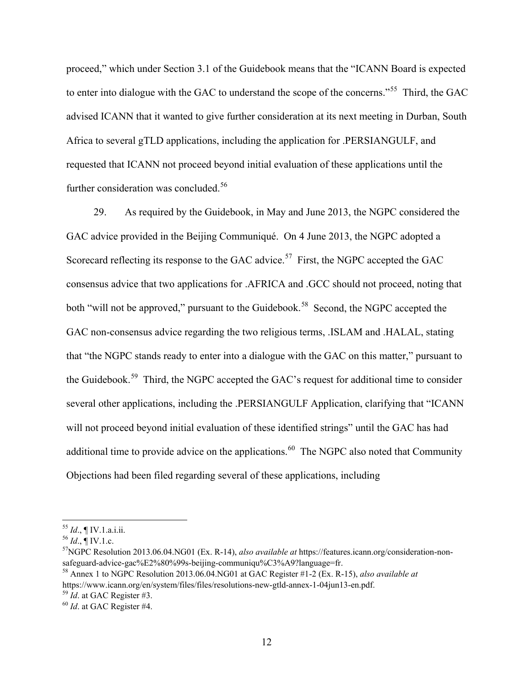proceed," which under Section 3.1 of the Guidebook means that the "ICANN Board is expected to enter into dialogue with the GAC to understand the scope of the concerns."<sup>55</sup> Third, the GAC advised ICANN that it wanted to give further consideration at its next meeting in Durban, South Africa to several gTLD applications, including the application for .PERSIANGULF, and requested that ICANN not proceed beyond initial evaluation of these applications until the further consideration was concluded.<sup>56</sup>

29. As required by the Guidebook, in May and June 2013, the NGPC considered the GAC advice provided in the Beijing Communiqué. On 4 June 2013, the NGPC adopted a Scorecard reflecting its response to the GAC advice.<sup>57</sup> First, the NGPC accepted the GAC consensus advice that two applications for .AFRICA and .GCC should not proceed, noting that both "will not be approved," pursuant to the Guidebook.<sup>58</sup> Second, the NGPC accepted the GAC non-consensus advice regarding the two religious terms, .ISLAM and .HALAL, stating that "the NGPC stands ready to enter into a dialogue with the GAC on this matter," pursuant to the Guidebook.<sup>59</sup> Third, the NGPC accepted the GAC's request for additional time to consider several other applications, including the .PERSIANGULF Application, clarifying that "ICANN will not proceed beyond initial evaluation of these identified strings" until the GAC has had additional time to provide advice on the applications.<sup>60</sup> The NGPC also noted that Community Objections had been filed regarding several of these applications, including

 <sup>55</sup> *Id*., ¶ IV.1.a.i.ii.

 $^{56}$  *Id.*, ¶ IV.1.c.

<sup>57</sup>NGPC Resolution 2013.06.04.NG01 (Ex. R-14), *also available at* https://features.icann.org/consideration-nonsafeguard-advice-gac%E2%80%99s-beijing-communiqu%C3%A9?language=fr.

<sup>58</sup> Annex 1 to NGPC Resolution 2013.06.04.NG01 at GAC Register #1-2 (Ex. R-15), *also available at*  https://www.icann.org/en/system/files/files/resolutions-new-gtld-annex-1-04jun13-en.pdf.

<sup>59</sup> *Id*. at GAC Register #3.

<sup>60</sup> *Id*. at GAC Register #4.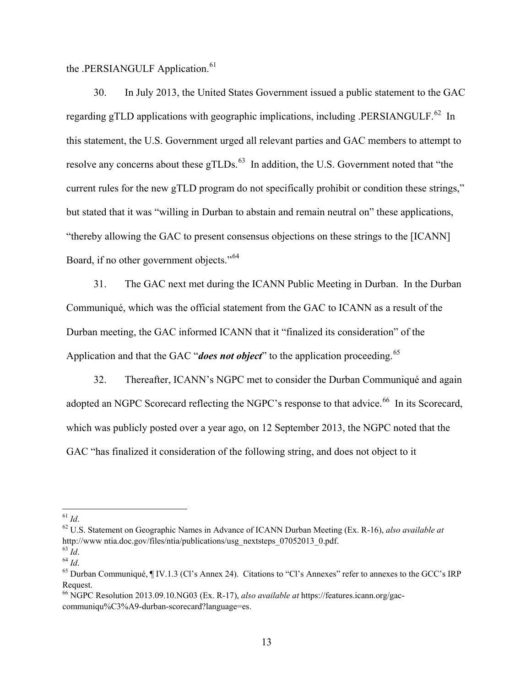the .PERSIANGULF Application.<sup>61</sup>

30. In July 2013, the United States Government issued a public statement to the GAC regarding gTLD applications with geographic implications, including .PERSIANGULF.<sup>62</sup> In this statement, the U.S. Government urged all relevant parties and GAC members to attempt to resolve any concerns about these gTLDs. $<sup>63</sup>$  In addition, the U.S. Government noted that "the</sup> current rules for the new gTLD program do not specifically prohibit or condition these strings," but stated that it was "willing in Durban to abstain and remain neutral on" these applications, "thereby allowing the GAC to present consensus objections on these strings to the [ICANN] Board, if no other government objects."<sup>64</sup>

31. The GAC next met during the ICANN Public Meeting in Durban. In the Durban Communiqué, which was the official statement from the GAC to ICANN as a result of the Durban meeting, the GAC informed ICANN that it "finalized its consideration" of the Application and that the GAC "*does not object*" to the application proceeding.<sup>65</sup>

32. Thereafter, ICANN's NGPC met to consider the Durban Communiqué and again adopted an NGPC Scorecard reflecting the NGPC's response to that advice.<sup>66</sup> In its Scorecard, which was publicly posted over a year ago, on 12 September 2013, the NGPC noted that the GAC "has finalized it consideration of the following string, and does not object to it

 $61$   $Id.$ 

<sup>&</sup>lt;sup>62</sup> U.S. Statement on Geographic Names in Advance of ICANN Durban Meeting (Ex. R-16), *also available at* http://www.ntia.doc.gov/files/ntia/publications/usg\_nextsteps\_07052013\_0.pdf.

<sup>&</sup>lt;sup>63</sup> *Id.*<br><sup>64</sup> *Id.*<br><sup>65</sup> Durban Communiqué, ¶ IV.1.3 (Cl's Annex 24). Citations to "Cl's Annexes" refer to annexes to the GCC's IRP Request.

<sup>66</sup> NGPC Resolution 2013.09.10.NG03 (Ex. R-17), *also available at* https://features.icann.org/gaccommuniqu%C3%A9-durban-scorecard?language=es.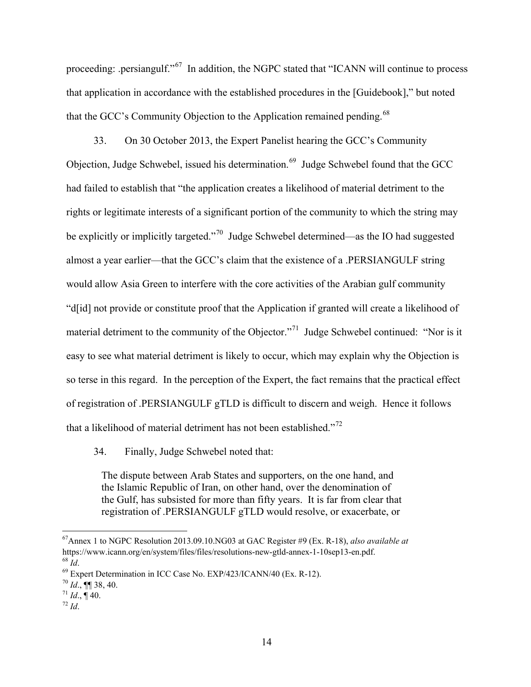proceeding: .persiangulf."<sup>67</sup> In addition, the NGPC stated that "ICANN will continue to process that application in accordance with the established procedures in the [Guidebook]," but noted that the GCC's Community Objection to the Application remained pending.<sup>68</sup>

33. On 30 October 2013, the Expert Panelist hearing the GCC's Community Objection, Judge Schwebel, issued his determination.<sup>69</sup> Judge Schwebel found that the GCC had failed to establish that "the application creates a likelihood of material detriment to the rights or legitimate interests of a significant portion of the community to which the string may be explicitly or implicitly targeted."70 Judge Schwebel determined—as the IO had suggested almost a year earlier—that the GCC's claim that the existence of a .PERSIANGULF string would allow Asia Green to interfere with the core activities of the Arabian gulf community "d[id] not provide or constitute proof that the Application if granted will create a likelihood of material detriment to the community of the Objector."<sup>71</sup> Judge Schwebel continued: "Nor is it easy to see what material detriment is likely to occur, which may explain why the Objection is so terse in this regard. In the perception of the Expert, the fact remains that the practical effect of registration of .PERSIANGULF gTLD is difficult to discern and weigh. Hence it follows that a likelihood of material detriment has not been established."<sup>72</sup>

34. Finally, Judge Schwebel noted that:

The dispute between Arab States and supporters, on the one hand, and the Islamic Republic of Iran, on other hand, over the denomination of the Gulf, has subsisted for more than fifty years. It is far from clear that registration of .PERSIANGULF gTLD would resolve, or exacerbate, or

 <sup>67</sup>Annex 1 to NGPC Resolution 2013.09.10.NG03 at GAC Register #9 (Ex. R-18), *also available at* https://www.icann.org/en/system/files/files/resolutions-new-gtld-annex-1-10sep13-en.pdf. <sup>68</sup> *Id*.

<sup>69</sup> Expert Determination in ICC Case No. EXP/423/ICANN/40 (Ex. R-12).

 $70$  *Id.*, **[1]** 38, 40.

 $^{71}$  *Id.*, ¶ 40.

 $72$  *Id.*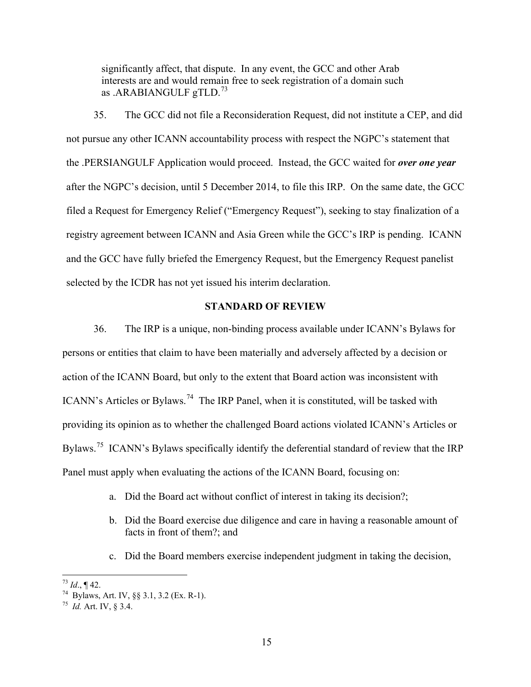significantly affect, that dispute. In any event, the GCC and other Arab interests are and would remain free to seek registration of a domain such as .ARABIANGULF gTLD.<sup>73</sup>

35. The GCC did not file a Reconsideration Request, did not institute a CEP, and did not pursue any other ICANN accountability process with respect the NGPC's statement that the .PERSIANGULF Application would proceed. Instead, the GCC waited for *over one year* after the NGPC's decision, until 5 December 2014, to file this IRP. On the same date, the GCC filed a Request for Emergency Relief ("Emergency Request"), seeking to stay finalization of a registry agreement between ICANN and Asia Green while the GCC's IRP is pending. ICANN and the GCC have fully briefed the Emergency Request, but the Emergency Request panelist selected by the ICDR has not yet issued his interim declaration.

## **STANDARD OF REVIEW**

36. The IRP is a unique, non-binding process available under ICANN's Bylaws for persons or entities that claim to have been materially and adversely affected by a decision or action of the ICANN Board, but only to the extent that Board action was inconsistent with ICANN's Articles or Bylaws.<sup>74</sup> The IRP Panel, when it is constituted, will be tasked with providing its opinion as to whether the challenged Board actions violated ICANN's Articles or Bylaws.<sup>75</sup> ICANN's Bylaws specifically identify the deferential standard of review that the IRP Panel must apply when evaluating the actions of the ICANN Board, focusing on:

- a. Did the Board act without conflict of interest in taking its decision?;
- b. Did the Board exercise due diligence and care in having a reasonable amount of facts in front of them?; and
- c. Did the Board members exercise independent judgment in taking the decision,

 $^{73}$  *Id.*, ¶ 42.

<sup>74</sup> Bylaws, Art. IV, §§ 3.1, 3.2 (Ex. R-1). 75 *Id.* Art. IV, § 3.4.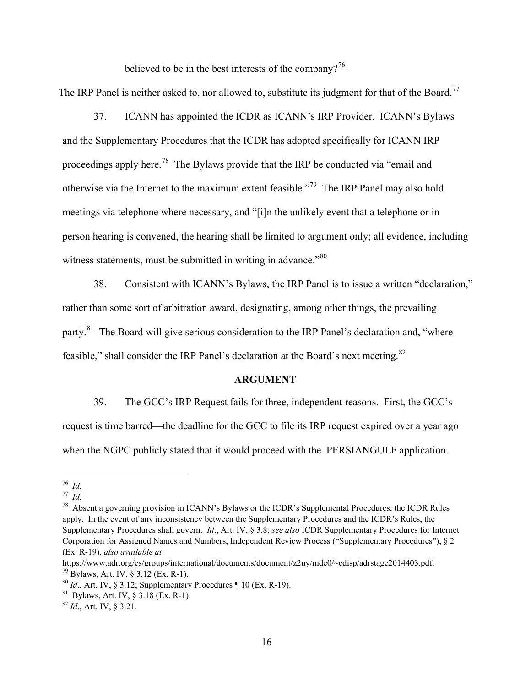believed to be in the best interests of the company?<sup>76</sup>

The IRP Panel is neither asked to, nor allowed to, substitute its judgment for that of the Board.<sup>77</sup>

37. ICANN has appointed the ICDR as ICANN's IRP Provider. ICANN's Bylaws and the Supplementary Procedures that the ICDR has adopted specifically for ICANN IRP proceedings apply here.78 The Bylaws provide that the IRP be conducted via "email and otherwise via the Internet to the maximum extent feasible."79 The IRP Panel may also hold meetings via telephone where necessary, and "[i]n the unlikely event that a telephone or inperson hearing is convened, the hearing shall be limited to argument only; all evidence, including witness statements, must be submitted in writing in advance."<sup>80</sup>

38. Consistent with ICANN's Bylaws, the IRP Panel is to issue a written "declaration," rather than some sort of arbitration award, designating, among other things, the prevailing party.<sup>81</sup> The Board will give serious consideration to the IRP Panel's declaration and, "where feasible," shall consider the IRP Panel's declaration at the Board's next meeting.<sup>82</sup>

#### **ARGUMENT**

39. The GCC's IRP Request fails for three, independent reasons. First, the GCC's request is time barred—the deadline for the GCC to file its IRP request expired over a year ago when the NGPC publicly stated that it would proceed with the .PERSIANGULF application.

 <sup>76</sup> *Id.*

<sup>77</sup> *Id.* 

 $78$  Absent a governing provision in ICANN's Bylaws or the ICDR's Supplemental Procedures, the ICDR Rules apply. In the event of any inconsistency between the Supplementary Procedures and the ICDR's Rules, the Supplementary Procedures shall govern. *Id*., Art. IV, § 3.8; *see also* ICDR Supplementary Procedures for Internet Corporation for Assigned Names and Numbers, Independent Review Process ("Supplementary Procedures"), § 2 (Ex. R-19), *also available at*

https://www.adr.org/cs/groups/international/documents/document/z2uy/mde0/~edisp/adrstage2014403.pdf.  $^{79}$  Bylaws, Art. IV,  $\frac{8}{3.12}$  (Ex. R-1).

<sup>&</sup>lt;sup>80</sup> *Id.*, Art. IV, § 3.12; Supplementary Procedures ¶ 10 (Ex. R-19).<br><sup>81</sup> Bylaws, Art. IV, § 3.18 (Ex. R-1).

<sup>82</sup> *Id*., Art. IV, § 3.21.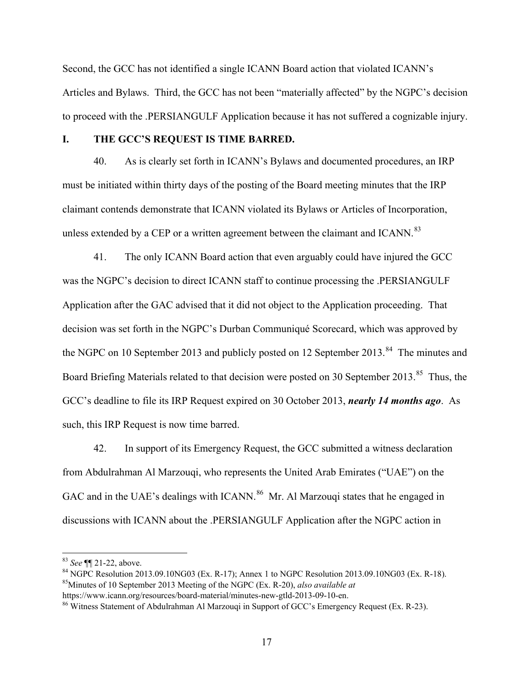Second, the GCC has not identified a single ICANN Board action that violated ICANN's Articles and Bylaws. Third, the GCC has not been "materially affected" by the NGPC's decision to proceed with the .PERSIANGULF Application because it has not suffered a cognizable injury.

## **I. THE GCC'S REQUEST IS TIME BARRED.**

40. As is clearly set forth in ICANN's Bylaws and documented procedures, an IRP must be initiated within thirty days of the posting of the Board meeting minutes that the IRP claimant contends demonstrate that ICANN violated its Bylaws or Articles of Incorporation, unless extended by a CEP or a written agreement between the claimant and ICANN.<sup>83</sup>

41. The only ICANN Board action that even arguably could have injured the GCC was the NGPC's decision to direct ICANN staff to continue processing the .PERSIANGULF Application after the GAC advised that it did not object to the Application proceeding. That decision was set forth in the NGPC's Durban Communiqué Scorecard, which was approved by the NGPC on 10 September 2013 and publicly posted on 12 September 2013.<sup>84</sup> The minutes and Board Briefing Materials related to that decision were posted on 30 September 2013.<sup>85</sup> Thus, the GCC's deadline to file its IRP Request expired on 30 October 2013, *nearly 14 months ago*. As such, this IRP Request is now time barred.

42. In support of its Emergency Request, the GCC submitted a witness declaration from Abdulrahman Al Marzouqi, who represents the United Arab Emirates ("UAE") on the GAC and in the UAE's dealings with ICANN.<sup>86</sup> Mr. Al Marzouqi states that he engaged in discussions with ICANN about the .PERSIANGULF Application after the NGPC action in

 <sup>83</sup> *See* ¶¶ 21-22, above.

<sup>84</sup> NGPC Resolution 2013.09.10NG03 (Ex. R-17); Annex 1 to NGPC Resolution 2013.09.10NG03 (Ex. R-18). 85Minutes of 10 September 2013 Meeting of the NGPC (Ex. R-20), *also available at*  https://www.icann.org/resources/board-material/minutes-new-gtld-2013-09-10-en.

<sup>&</sup>lt;sup>86</sup> Witness Statement of Abdulrahman Al Marzouqi in Support of GCC's Emergency Request (Ex. R-23).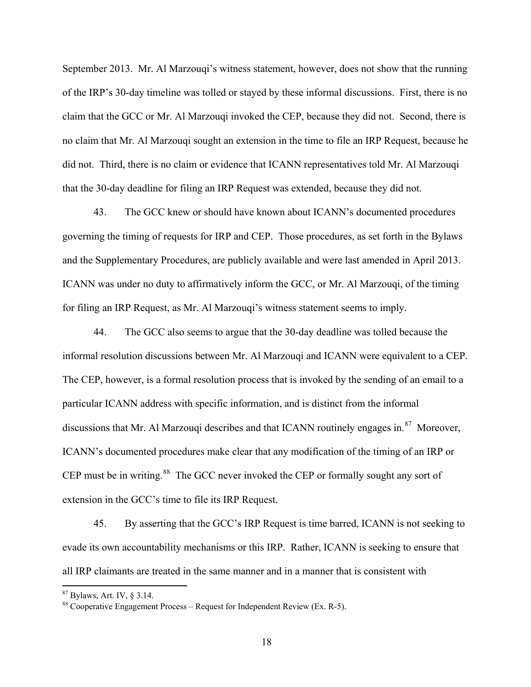September 2013. Mr. Al Marzouqi's witness statement, however, does not show that the running of the IRP's 30-day timeline was tolled or stayed by these informal discussions. First, there is no claim that the GCC or Mr. Al Marzouqi invoked the CEP, because they did not. Second, there is no claim that Mr. Al Marzouqi sought an extension in the time to file an IRP Request, because he did not. Third, there is no claim or evidence that ICANN representatives told Mr. Al Marzouqi that the 30-day deadline for filing an IRP Request was extended, because they did not.

43. The GCC knew or should have known about ICANN's documented procedures governing the timing of requests for IRP and CEP. Those procedures, as set forth in the Bylaws and the Supplementary Procedures, are publicly available and were last amended in April 2013. ICANN was under no duty to affirmatively inform the GCC, or Mr. Al Marzouqi, of the timing for filing an IRP Request, as Mr. Al Marzouqi's witness statement seems to imply.

44. The GCC also seems to argue that the 30-day deadline was tolled because the informal resolution discussions between Mr. Al Marzouqi and ICANN were equivalent to a CEP. The CEP, however, is a formal resolution process that is invoked by the sending of an email to a particular ICANN address with specific information, and is distinct from the informal discussions that Mr. Al Marzouqi describes and that ICANN routinely engages in. $87$  Moreover, ICANN's documented procedures make clear that any modification of the timing of an IRP or CEP must be in writing.<sup>88</sup> The GCC never invoked the CEP or formally sought any sort of extension in the GCC's time to file its IRP Request.

45. By asserting that the GCC's IRP Request is time barred, ICANN is not seeking to evade its own accountability mechanisms or this IRP. Rather, ICANN is seeking to ensure that all IRP claimants are treated in the same manner and in a manner that is consistent with

 <sup>87</sup> Bylaws, Art. IV, § 3.14.

 $88$  Cooperative Engagement Process – Request for Independent Review (Ex. R-5).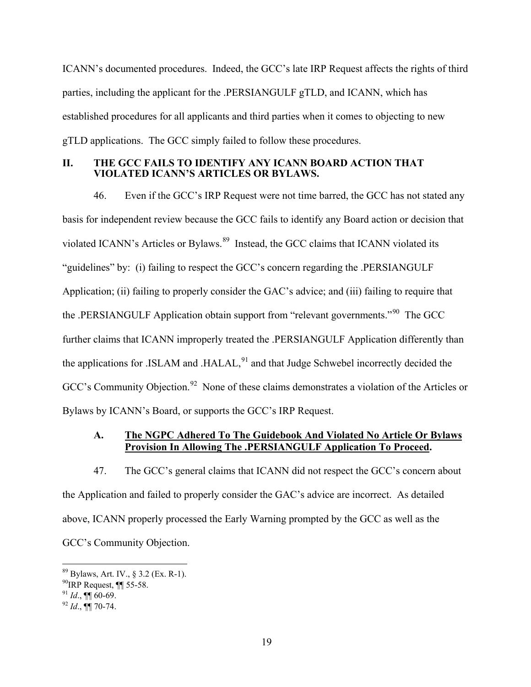ICANN's documented procedures. Indeed, the GCC's late IRP Request affects the rights of third parties, including the applicant for the .PERSIANGULF gTLD, and ICANN, which has established procedures for all applicants and third parties when it comes to objecting to new gTLD applications. The GCC simply failed to follow these procedures.

## **II. THE GCC FAILS TO IDENTIFY ANY ICANN BOARD ACTION THAT VIOLATED ICANN'S ARTICLES OR BYLAWS.**

46. Even if the GCC's IRP Request were not time barred, the GCC has not stated any basis for independent review because the GCC fails to identify any Board action or decision that violated ICANN's Articles or Bylaws.<sup>89</sup> Instead, the GCC claims that ICANN violated its "guidelines" by: (i) failing to respect the GCC's concern regarding the .PERSIANGULF Application; (ii) failing to properly consider the GAC's advice; and (iii) failing to require that the .PERSIANGULF Application obtain support from "relevant governments."90 The GCC further claims that ICANN improperly treated the .PERSIANGULF Application differently than the applications for .ISLAM and .HALAL, $91$  and that Judge Schwebel incorrectly decided the GCC's Community Objection.<sup>92</sup> None of these claims demonstrates a violation of the Articles or Bylaws by ICANN's Board, or supports the GCC's IRP Request.

# **A. The NGPC Adhered To The Guidebook And Violated No Article Or Bylaws Provision In Allowing The .PERSIANGULF Application To Proceed.**

47. The GCC's general claims that ICANN did not respect the GCC's concern about the Application and failed to properly consider the GAC's advice are incorrect. As detailed above, ICANN properly processed the Early Warning prompted by the GCC as well as the GCC's Community Objection.

 <sup>89</sup> Bylaws, Art. IV., § 3.2 (Ex. R-1).

 $^{90}$  IRP Request, ¶[ 55-58.

 $^{91}$  *Id.*, **¶** 60-69.

 $^{92}$  *Id.*, **¶** 70-74.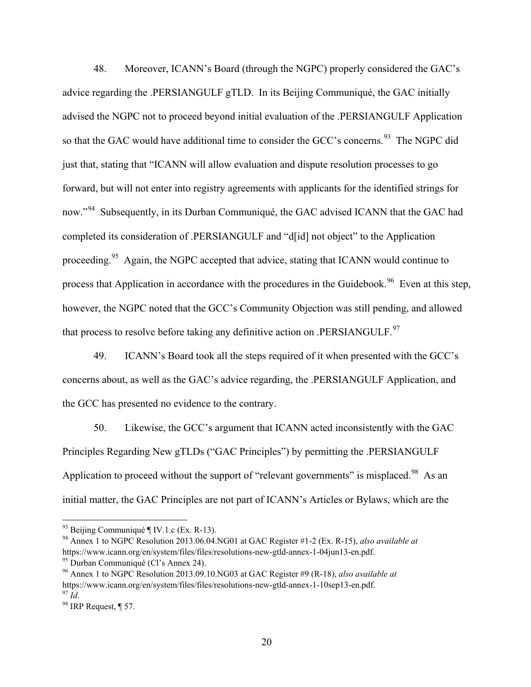48. Moreover, ICANN's Board (through the NGPC) properly considered the GAC's advice regarding the .PERSIANGULF gTLD. In its Beijing Communiqué, the GAC initially advised the NGPC not to proceed beyond initial evaluation of the .PERSIANGULF Application so that the GAC would have additional time to consider the GCC's concerns.<sup>93</sup> The NGPC did just that, stating that "ICANN will allow evaluation and dispute resolution processes to go forward, but will not enter into registry agreements with applicants for the identified strings for now."<sup>94</sup> Subsequently, in its Durban Communiqué, the GAC advised ICANN that the GAC had completed its consideration of .PERSIANGULF and "d[id] not object" to the Application proceeding.<sup>95</sup> Again, the NGPC accepted that advice, stating that ICANN would continue to process that Application in accordance with the procedures in the Guidebook.<sup>96</sup> Even at this step, however, the NGPC noted that the GCC's Community Objection was still pending, and allowed that process to resolve before taking any definitive action on .PERSIANGULF.<sup>97</sup>

49. ICANN's Board took all the steps required of it when presented with the GCC's concerns about, as well as the GAC's advice regarding, the .PERSIANGULF Application, and the GCC has presented no evidence to the contrary.

50. Likewise, the GCC's argument that ICANN acted inconsistently with the GAC Principles Regarding New gTLDs ("GAC Principles") by permitting the .PERSIANGULF Application to proceed without the support of "relevant governments" is misplaced.<sup>98</sup> As an initial matter, the GAC Principles are not part of ICANN's Articles or Bylaws, which are the

 $93$  Beijing Communiqué ¶ IV.1.c (Ex. R-13).

<sup>94</sup> Annex 1 to NGPC Resolution 2013.06.04.NG01 at GAC Register #1-2 (Ex. R-15), *also available at*  https://www.icann.org/en/system/files/files/resolutions-new-gtld-annex-1-04jun13-en.pdf.

<sup>&</sup>lt;sup>95</sup> Durban Communiqué (Cl's Annex 24).

<sup>96</sup> Annex 1 to NGPC Resolution 2013.09.10.NG03 at GAC Register #9 (R-18), *also available at* https://www.icann.org/en/system/files/files/resolutions-new-gtld-annex-1-10sep13-en.pdf.  $^{97}$  *Id.* 

<sup>98</sup> IRP Request, ¶ 57.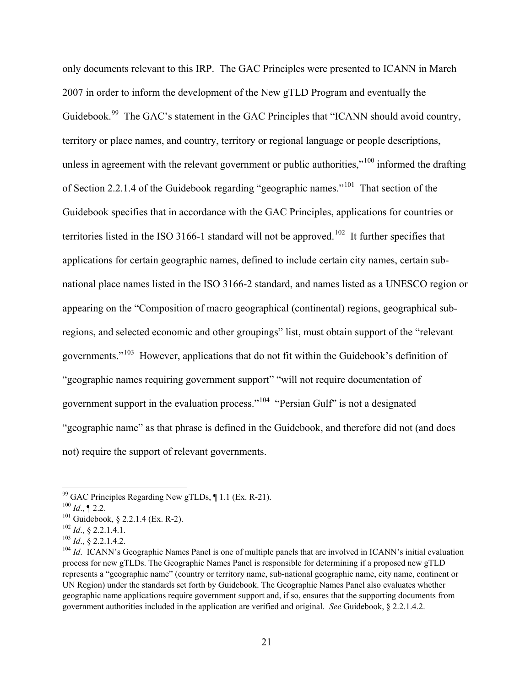only documents relevant to this IRP. The GAC Principles were presented to ICANN in March 2007 in order to inform the development of the New gTLD Program and eventually the Guidebook.<sup>99</sup> The GAC's statement in the GAC Principles that "ICANN should avoid country, territory or place names, and country, territory or regional language or people descriptions, unless in agreement with the relevant government or public authorities,"<sup>100</sup> informed the drafting of Section 2.2.1.4 of the Guidebook regarding "geographic names."101 That section of the Guidebook specifies that in accordance with the GAC Principles, applications for countries or territories listed in the ISO 3166-1 standard will not be approved.<sup>102</sup> It further specifies that applications for certain geographic names, defined to include certain city names, certain subnational place names listed in the ISO 3166-2 standard, and names listed as a UNESCO region or appearing on the "Composition of macro geographical (continental) regions, geographical subregions, and selected economic and other groupings" list, must obtain support of the "relevant governments."103 However, applications that do not fit within the Guidebook's definition of "geographic names requiring government support" "will not require documentation of government support in the evaluation process."104 "Persian Gulf" is not a designated "geographic name" as that phrase is defined in the Guidebook, and therefore did not (and does not) require the support of relevant governments.

<sup>99</sup> GAC Principles Regarding New gTLDs, ¶ 1.1 (Ex. R-21). 100 *Id*., ¶ 2.2.

 $101$  Guidebook, § 2.2.1.4 (Ex. R-2).

<sup>102</sup> *Id*., § 2.2.1.4.1.

<sup>103</sup> *Id*., § 2.2.1.4.2.

<sup>&</sup>lt;sup>104</sup> *Id.* ICANN's Geographic Names Panel is one of multiple panels that are involved in ICANN's initial evaluation process for new gTLDs. The Geographic Names Panel is responsible for determining if a proposed new gTLD represents a "geographic name" (country or territory name, sub-national geographic name, city name, continent or UN Region) under the standards set forth by Guidebook. The Geographic Names Panel also evaluates whether geographic name applications require government support and, if so, ensures that the supporting documents from government authorities included in the application are verified and original. *See* Guidebook, § 2.2.1.4.2.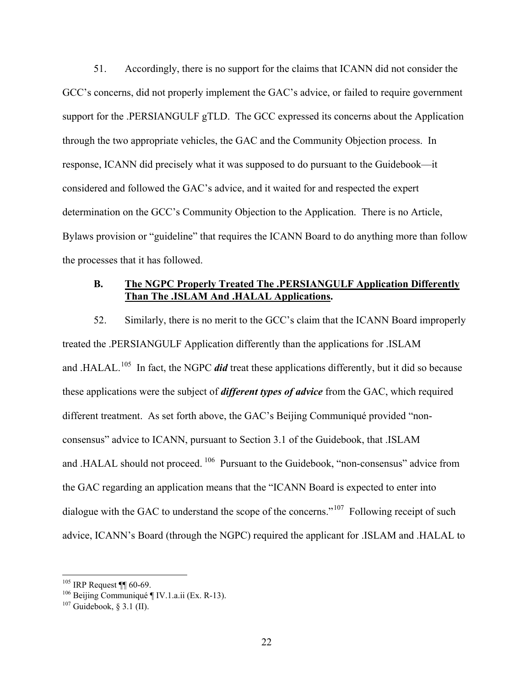51. Accordingly, there is no support for the claims that ICANN did not consider the GCC's concerns, did not properly implement the GAC's advice, or failed to require government support for the .PERSIANGULF gTLD. The GCC expressed its concerns about the Application through the two appropriate vehicles, the GAC and the Community Objection process. In response, ICANN did precisely what it was supposed to do pursuant to the Guidebook—it considered and followed the GAC's advice, and it waited for and respected the expert determination on the GCC's Community Objection to the Application. There is no Article, Bylaws provision or "guideline" that requires the ICANN Board to do anything more than follow the processes that it has followed.

#### **B. The NGPC Properly Treated The .PERSIANGULF Application Differently Than The .ISLAM And .HALAL Applications.**

52. Similarly, there is no merit to the GCC's claim that the ICANN Board improperly treated the .PERSIANGULF Application differently than the applications for .ISLAM and .HALAL.<sup>105</sup> In fact, the NGPC *did* treat these applications differently, but it did so because these applications were the subject of *different types of advice* from the GAC, which required different treatment. As set forth above, the GAC's Beijing Communiqué provided "nonconsensus" advice to ICANN, pursuant to Section 3.1 of the Guidebook, that .ISLAM and .HALAL should not proceed. 106 Pursuant to the Guidebook, "non-consensus" advice from the GAC regarding an application means that the "ICANN Board is expected to enter into dialogue with the GAC to understand the scope of the concerns."<sup>107</sup> Following receipt of such advice, ICANN's Board (through the NGPC) required the applicant for .ISLAM and .HALAL to

 $105$  IRP Request ¶ 60-69.

 $106$  Beijing Communiqué ¶ IV.1.a.ii (Ex. R-13).

 $107$  Guidebook, § 3.1 (II).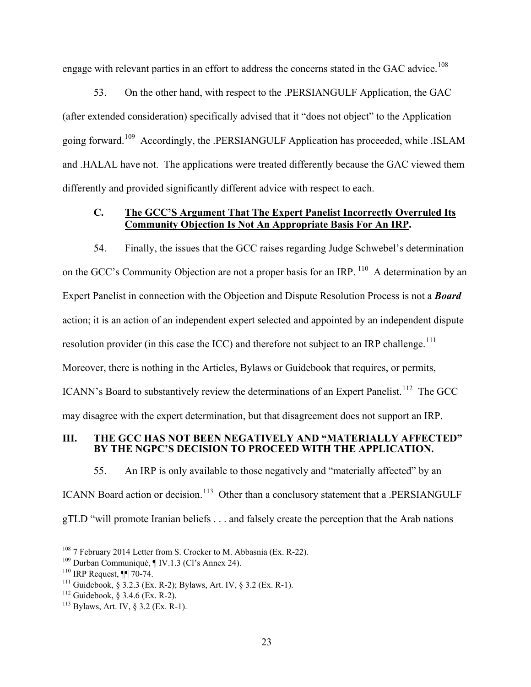engage with relevant parties in an effort to address the concerns stated in the GAC advice.<sup>108</sup>

53. On the other hand, with respect to the .PERSIANGULF Application, the GAC (after extended consideration) specifically advised that it "does not object" to the Application going forward.109 Accordingly, the .PERSIANGULF Application has proceeded, while .ISLAM and .HALAL have not. The applications were treated differently because the GAC viewed them differently and provided significantly different advice with respect to each.

# **C. The GCC'S Argument That The Expert Panelist Incorrectly Overruled Its Community Objection Is Not An Appropriate Basis For An IRP.**

54. Finally, the issues that the GCC raises regarding Judge Schwebel's determination on the GCC's Community Objection are not a proper basis for an IRP. <sup>110</sup> A determination by an Expert Panelist in connection with the Objection and Dispute Resolution Process is not a *Board* action; it is an action of an independent expert selected and appointed by an independent dispute resolution provider (in this case the ICC) and therefore not subject to an IRP challenge.<sup>111</sup> Moreover, there is nothing in the Articles, Bylaws or Guidebook that requires, or permits, ICANN's Board to substantively review the determinations of an Expert Panelist.<sup>112</sup> The GCC may disagree with the expert determination, but that disagreement does not support an IRP.

#### **III. THE GCC HAS NOT BEEN NEGATIVELY AND "MATERIALLY AFFECTED" BY THE NGPC'S DECISION TO PROCEED WITH THE APPLICATION.**

55. An IRP is only available to those negatively and "materially affected" by an ICANN Board action or decision.<sup>113</sup> Other than a conclusory statement that a .PERSIANGULF gTLD "will promote Iranian beliefs . . . and falsely create the perception that the Arab nations

<sup>&</sup>lt;sup>108</sup> 7 February 2014 Letter from S. Crocker to M. Abbasnia (Ex. R-22).

<sup>109</sup> Durban Communiqué, ¶ IV.1.3 (Cl's Annex 24).

<sup>110</sup> IRP Request, ¶¶ 70-74.

<sup>&</sup>lt;sup>111</sup> Guidebook,  $\frac{3.2.3 \text{ (Ex. R-2)}}{2}$  Bylaws, Art. IV,  $\frac{3.2 \text{ (Ex. R-1)}}{2}$ .

 $112$  Guidebook, § 3.4.6 (Ex. R-2).

 $113$  Bylaws, Art. IV, § 3.2 (Ex. R-1).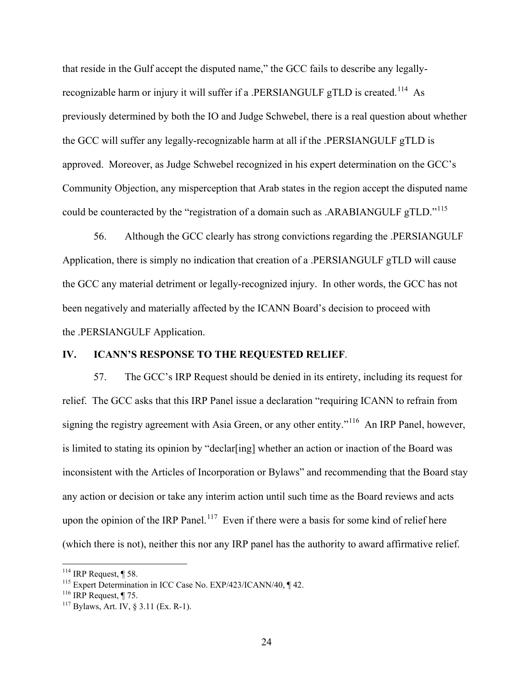that reside in the Gulf accept the disputed name," the GCC fails to describe any legallyrecognizable harm or injury it will suffer if a .PERSIANGULF gTLD is created.<sup>114</sup> As previously determined by both the IO and Judge Schwebel, there is a real question about whether the GCC will suffer any legally-recognizable harm at all if the .PERSIANGULF gTLD is approved. Moreover, as Judge Schwebel recognized in his expert determination on the GCC's Community Objection, any misperception that Arab states in the region accept the disputed name could be counteracted by the "registration of a domain such as .ARABIANGULF gTLD."<sup>115</sup>

56. Although the GCC clearly has strong convictions regarding the .PERSIANGULF Application, there is simply no indication that creation of a .PERSIANGULF gTLD will cause the GCC any material detriment or legally-recognized injury. In other words, the GCC has not been negatively and materially affected by the ICANN Board's decision to proceed with the .PERSIANGULF Application.

### **IV. ICANN'S RESPONSE TO THE REQUESTED RELIEF**.

57. The GCC's IRP Request should be denied in its entirety, including its request for relief. The GCC asks that this IRP Panel issue a declaration "requiring ICANN to refrain from signing the registry agreement with Asia Green, or any other entity."<sup>116</sup> An IRP Panel, however, is limited to stating its opinion by "declar[ing] whether an action or inaction of the Board was inconsistent with the Articles of Incorporation or Bylaws" and recommending that the Board stay any action or decision or take any interim action until such time as the Board reviews and acts upon the opinion of the IRP Panel.<sup>117</sup> Even if there were a basis for some kind of relief here (which there is not), neither this nor any IRP panel has the authority to award affirmative relief.

<sup>&</sup>lt;sup>114</sup> IRP Request,  $\parallel$  58.<br><sup>115</sup> Expert Determination in ICC Case No. EXP/423/ICANN/40,  $\parallel$  42.

<sup>&</sup>lt;sup>116</sup> IRP Request, ¶ 75.<br><sup>117</sup> Bylaws, Art. IV, § 3.11 (Ex. R-1).